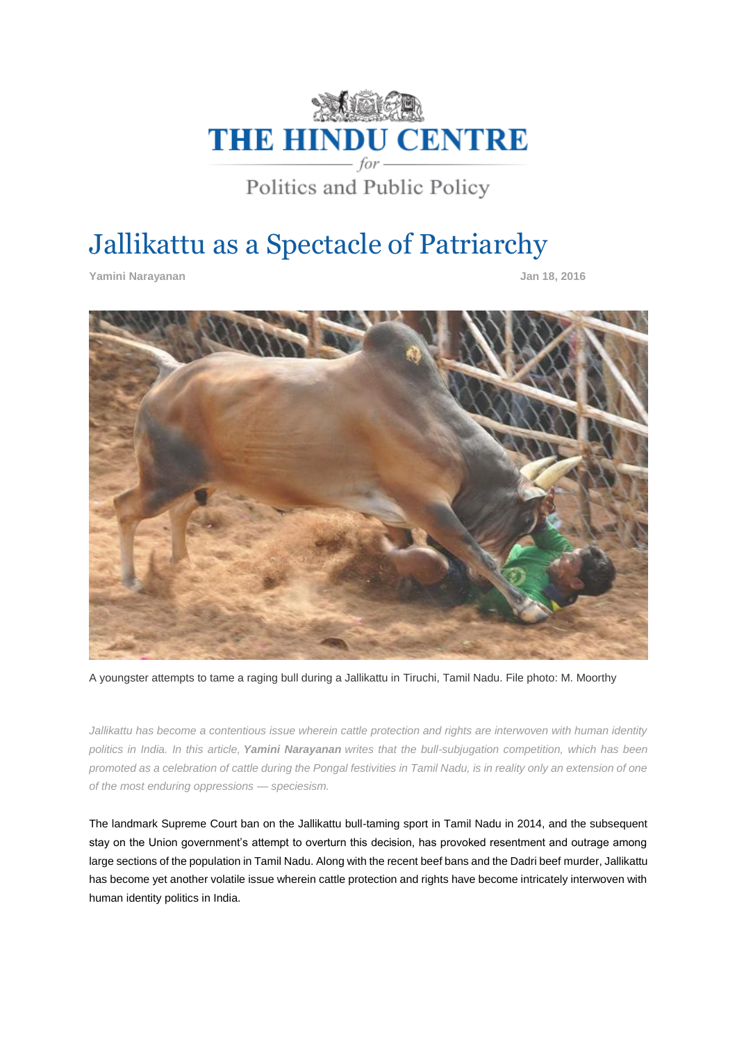

# Jallikattu as a Spectacle of Patriarchy

**Yamini Narayanan Jan 18, 2016**



A youngster attempts to tame a raging bull during a Jallikattu in Tiruchi, Tamil Nadu. File photo: M. Moorthy

*Jallikattu has become a contentious issue wherein cattle protection and rights are interwoven with human identity politics in India. In this article, Yamini Narayanan writes that the bull-subjugation competition, which has been promoted as a celebration of cattle during the Pongal festivities in Tamil Nadu, is in reality only an extension of one of the most enduring oppressions — speciesism.*

The landmark Supreme Court ban on the Jallikattu bull-taming sport in Tamil Nadu in 2014, and the subsequent stay on the Union government's attempt to overturn this decision, has provoked resentment and outrage among large sections of the population in Tamil Nadu. Along with the recent beef bans and the Dadri beef murder, Jallikattu has become yet another volatile issue wherein cattle protection and rights have become intricately interwoven with human identity politics in India.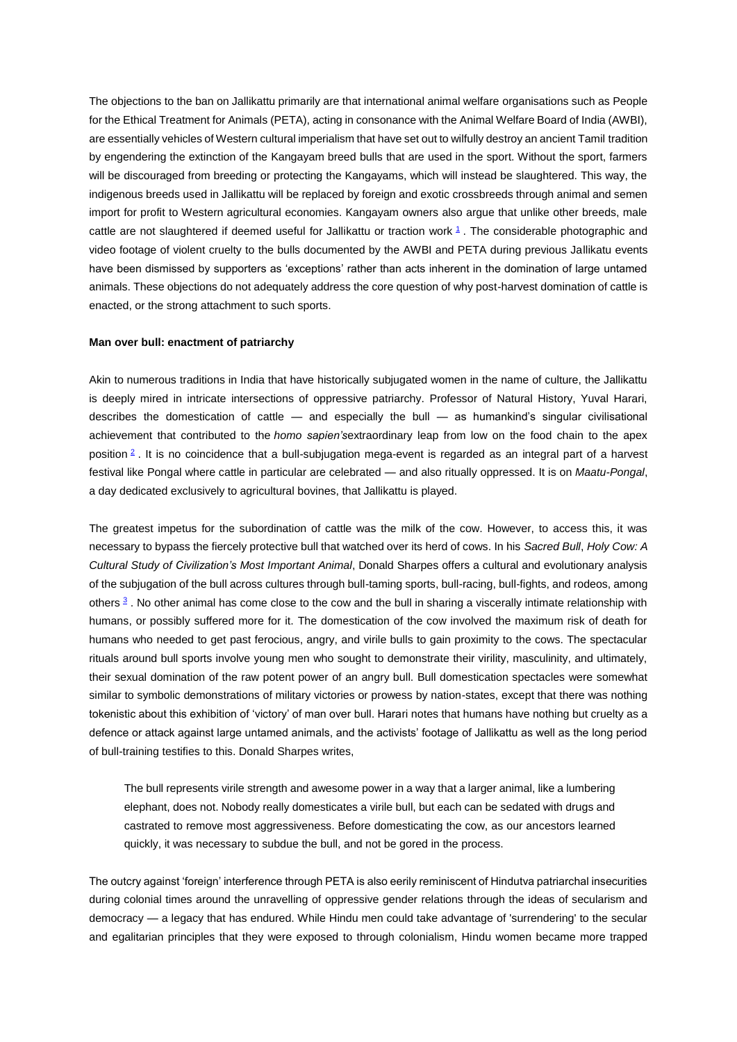The objections to the ban on Jallikattu primarily are that international animal welfare organisations such as People for the Ethical Treatment for Animals (PETA), acting in consonance with the Animal Welfare Board of India (AWBI), are essentially vehicles of Western cultural imperialism that have set out to wilfully destroy an ancient Tamil tradition by engendering the extinction of the Kangayam breed bulls that are used in the sport. Without the sport, farmers will be discouraged from breeding or protecting the Kangayams, which will instead be slaughtered. This way, the indigenous breeds used in Jallikattu will be replaced by foreign and exotic crossbreeds through animal and semen import for profit to Western agricultural economies. Kangayam owners also argue that unlike other breeds, male cattle are not slaughtered if deemed useful for Jallikattu or traction work  $1$ . The considerable photographic and video footage of violent cruelty to the bulls documented by the AWBI and PETA during previous Jallikatu events have been dismissed by supporters as 'exceptions' rather than acts inherent in the domination of large untamed animals. These objections do not adequately address the core question of why post-harvest domination of cattle is enacted, or the strong attachment to such sports.

### **Man over bull: enactment of patriarchy**

Akin to numerous traditions in India that have historically subjugated women in the name of culture, the Jallikattu is deeply mired in intricate intersections of oppressive patriarchy. Professor of Natural History, Yuval Harari, describes the domestication of cattle — and especially the bull — as humankind's singular civilisational achievement that contributed to the *homo sapien's*extraordinary leap from low on the food chain to the apex position [2](http://www.thehinducentre.com/the-arena/current-issues/article8119877.ece#Two) . It is no coincidence that a bull-subjugation mega-event is regarded as an integral part of a harvest festival like Pongal where cattle in particular are celebrated — and also ritually oppressed. It is on *Maatu-Pongal*, a day dedicated exclusively to agricultural bovines, that Jallikattu is played.

The greatest impetus for the subordination of cattle was the milk of the cow. However, to access this, it was necessary to bypass the fiercely protective bull that watched over its herd of cows. In his *Sacred Bull*, *Holy Cow: A Cultural Study of Civilization's Most Important Animal*, Donald Sharpes offers a cultural and evolutionary analysis of the subjugation of the bull across cultures through bull-taming sports, bull-racing, bull-fights, and rodeos, among others <sup>[3](http://www.thehinducentre.com/the-arena/current-issues/article8119877.ece#Three)</sup>. No other animal has come close to the cow and the bull in sharing a viscerally intimate relationship with humans, or possibly suffered more for it. The domestication of the cow involved the maximum risk of death for humans who needed to get past ferocious, angry, and virile bulls to gain proximity to the cows. The spectacular rituals around bull sports involve young men who sought to demonstrate their virility, masculinity, and ultimately, their sexual domination of the raw potent power of an angry bull. Bull domestication spectacles were somewhat similar to symbolic demonstrations of military victories or prowess by nation-states, except that there was nothing tokenistic about this exhibition of 'victory' of man over bull. Harari notes that humans have nothing but cruelty as a defence or attack against large untamed animals, and the activists' footage of Jallikattu as well as the long period of bull-training testifies to this. Donald Sharpes writes,

The bull represents virile strength and awesome power in a way that a larger animal, like a lumbering elephant, does not. Nobody really domesticates a virile bull, but each can be sedated with drugs and castrated to remove most aggressiveness. Before domesticating the cow, as our ancestors learned quickly, it was necessary to subdue the bull, and not be gored in the process.

The outcry against 'foreign' interference through PETA is also eerily reminiscent of Hindutva patriarchal insecurities during colonial times around the unravelling of oppressive gender relations through the ideas of secularism and democracy — a legacy that has endured. While Hindu men could take advantage of 'surrendering' to the secular and egalitarian principles that they were exposed to through colonialism, Hindu women became more trapped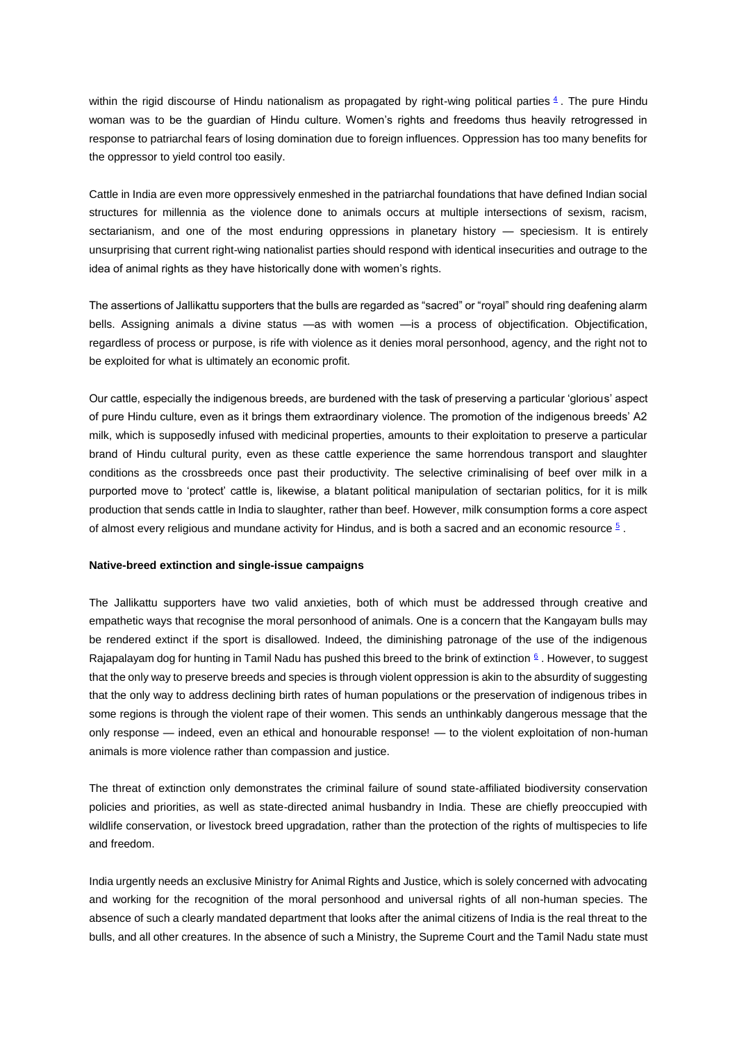within the rigid discourse of Hindu nationalism as propagated by right-wing political parties  $4$ . The pure Hindu woman was to be the guardian of Hindu culture. Women's rights and freedoms thus heavily retrogressed in response to patriarchal fears of losing domination due to foreign influences. Oppression has too many benefits for the oppressor to yield control too easily.

Cattle in India are even more oppressively enmeshed in the patriarchal foundations that have defined Indian social structures for millennia as the violence done to animals occurs at multiple intersections of sexism, racism, sectarianism, and one of the most enduring oppressions in planetary history — speciesism. It is entirely unsurprising that current right-wing nationalist parties should respond with identical insecurities and outrage to the idea of animal rights as they have historically done with women's rights.

The assertions of Jallikattu supporters that the bulls are regarded as "sacred" or "royal" should ring deafening alarm bells. Assigning animals a divine status —as with women —is a process of objectification. Objectification, regardless of process or purpose, is rife with violence as it denies moral personhood, agency, and the right not to be exploited for what is ultimately an economic profit.

Our cattle, especially the indigenous breeds, are burdened with the task of preserving a particular 'glorious' aspect of pure Hindu culture, even as it brings them extraordinary violence. The promotion of the indigenous breeds' A2 milk, which is supposedly infused with medicinal properties, amounts to their exploitation to preserve a particular brand of Hindu cultural purity, even as these cattle experience the same horrendous transport and slaughter conditions as the crossbreeds once past their productivity. The selective criminalising of beef over milk in a purported move to 'protect' cattle is, likewise, a blatant political manipulation of sectarian politics, for it is milk production that sends cattle in India to slaughter, rather than beef. However, milk consumption forms a core aspect of almost every religious and mundane activity for Hindus, and is both a sacred and an economic resource  $\frac{5}{5}$  $\frac{5}{5}$  $\frac{5}{5}$ .

### **Native-breed extinction and single-issue campaigns**

The Jallikattu supporters have two valid anxieties, both of which must be addressed through creative and empathetic ways that recognise the moral personhood of animals. One is a concern that the Kangayam bulls may be rendered extinct if the sport is disallowed. Indeed, the diminishing patronage of the use of the indigenous Rajapalayam dog for hunting in Tamil Nadu has pushed this breed to the brink of extinction  $6/2$  $6/2$ . However, to suggest that the only way to preserve breeds and species is through violent oppression is akin to the absurdity of suggesting that the only way to address declining birth rates of human populations or the preservation of indigenous tribes in some regions is through the violent rape of their women. This sends an unthinkably dangerous message that the only response — indeed, even an ethical and honourable response! — to the violent exploitation of non-human animals is more violence rather than compassion and justice.

The threat of extinction only demonstrates the criminal failure of sound state-affiliated biodiversity conservation policies and priorities, as well as state-directed animal husbandry in India. These are chiefly preoccupied with wildlife conservation, or livestock breed upgradation, rather than the protection of the rights of multispecies to life and freedom.

India urgently needs an exclusive Ministry for Animal Rights and Justice, which is solely concerned with advocating and working for the recognition of the moral personhood and universal rights of all non-human species. The absence of such a clearly mandated department that looks after the animal citizens of India is the real threat to the bulls, and all other creatures. In the absence of such a Ministry, the Supreme Court and the Tamil Nadu state must